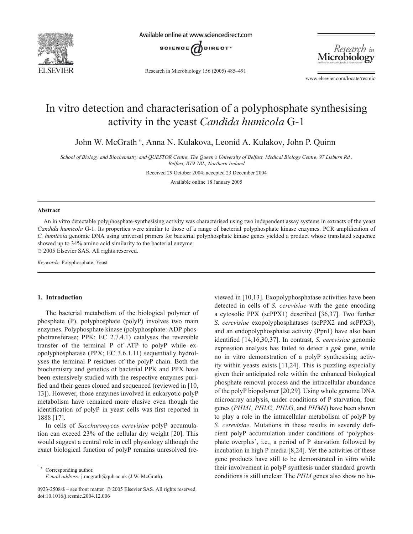

Available online at www.sciencedirect.com



Research in Microbiology 156 (2005) 485–491



www.elsevier.com/locate/resmic

# In vitro detection and characterisation of a polyphosphate synthesising activity in the yeast *Candida humicola* G-1

John W. McGrath <sup>∗</sup> , Anna N. Kulakova, Leonid A. Kulakov, John P. Quinn

*School of Biology and Biochemistry and QUESTOR Centre, The Queen's University of Belfast, Medical Biology Centre, 97 Lisburn Rd., Belfast, BT9 7BL, Northern Ireland*

Received 29 October 2004; accepted 23 December 2004

Available online 18 January 2005

# **Abstract**

An in vitro detectable polyphosphate-synthesising activity was characterised using two independent assay systems in extracts of the yeast *Candida humicola* G-1. Its properties were similar to those of a range of bacterial polyphosphate kinase enzymes. PCR amplification of *C. humicola* genomic DNA using universal primers for bacterial polyphosphate kinase genes yielded a product whose translated sequence showed up to 34% amino acid similarity to the bacterial enzyme. © 2005 Elsevier SAS. All rights reserved.

*Keywords:* Polyphosphate; Yeast

#### **1. Introduction**

The bacterial metabolism of the biological polymer of phosphate (P), polyphosphate (polyP) involves two main enzymes. Polyphosphate kinase (polyphosphate: ADP phosphotransferase; PPK; EC 2.7.4.1) catalyses the reversible transfer of the terminal P of ATP to polyP while exopolyphosphatase (PPX; EC 3.6.1.11) sequentially hydrolyses the terminal P residues of the polyP chain. Both the biochemistry and genetics of bacterial PPK and PPX have been extensively studied with the respective enzymes purified and their genes cloned and sequenced (reviewed in [10, 13]). However, those enzymes involved in eukaryotic polyP metabolism have remained more elusive even though the identification of polyP in yeast cells was first reported in 1888 [17].

In cells of *Saccharomyces cerevisiae* polyP accumulation can exceed 23% of the cellular dry weight [20]. This would suggest a central role in cell physiology although the exact biological function of polyP remains unresolved (re-

Corresponding author.

*E-mail address:* j.mcgrath@qub.ac.uk (J.W. McGrath).

viewed in [10,13]. Exopolyphosphatase activities have been detected in cells of *S. cerevisiae* with the gene encoding a cytosolic PPX (scPPX1) described [36,37]. Two further *S. cerevisiae* exopolyphosphatases (scPPX2 and scPPX3), and an endopolyphosphatse activity (Ppn1) have also been identified [14,16,30,37]. In contrast, *S. cerevisiae* genomic expression analysis has failed to detect a *ppk* gene, while no in vitro demonstration of a polyP synthesising activity within yeasts exists [11,24]. This is puzzling especially given their anticipated role within the enhanced biological phosphate removal process and the intracellular abundance of the polyP biopolymer [20,29]. Using whole genome DNA microarray analysis, under conditions of P starvation, four genes (*PHM1, PHM2, PHM3,* and *PHM4*) have been shown to play a role in the intracellular metabolism of polyP by *S. cerevisiae*. Mutations in these results in severely deficient polyP accumulation under conditions of 'polyphosphate overplus', i.e., a period of P starvation followed by incubation in high P media [8,24]. Yet the activities of these gene products have still to be demonstrated in vitro while their involvement in polyP synthesis under standard growth conditions is still unclear. The *PHM* genes also show no ho-

<sup>0923-2508/\$ –</sup> see front matter © 2005 Elsevier SAS. All rights reserved. doi:10.1016/j.resmic.2004.12.006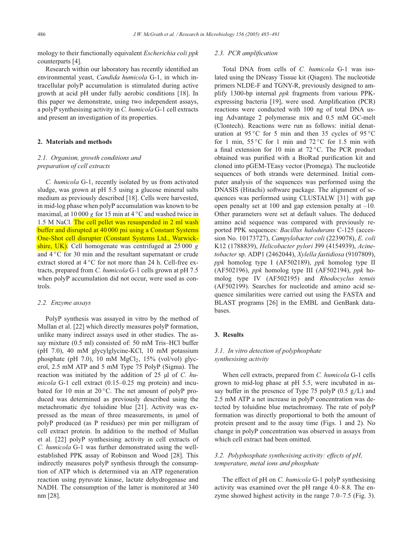mology to their functionally equivalent *Escherichia coli ppk* counterparts [4].

Research within our laboratory has recently identified an environmental yeast, *Candida humicola* G-1, in which intracellular polyP accumulation is stimulated during active growth at acid pH under fully aerobic conditions [18]. In this paper we demonstrate, using two independent assays, a polyP synthesising activity in *C. humicola* G-1 cell extracts and present an investigation of its properties.

#### **2. Materials and methods**

# *2.1. Organism, growth conditions and preparation of cell extracts*

*C. humicola* G-1, recently isolated by us from activated sludge, was grown at pH 5.5 using a glucose mineral salts medium as previously described [18]. Cells were harvested, in mid-log phase when polyP accumulation was known to be maximal, at 10 000 g for 15 min at 4  $\degree$ C and washed twice in 1.5 M NaCl. The cell pellet was resuspended in 2 ml wash buffer and disrupted at 40 000 psi using a Constant Systems One-Shot cell disrupter (Constant Systems Ltd., Warwickshire, UK). Cell homogenate was centrifuged at  $25\,000\,g$ and 4 ◦C for 30 min and the resultant supernatant or crude extract stored at 4 ℃ for not more than 24 h. Cell-free extracts, prepared from *C. humicola* G-1 cells grown at pH 7.5 when polyP accumulation did not occur, were used as controls.

#### *2.2. Enzyme assays*

PolyP synthesis was assayed in vitro by the method of Mullan et al. [22] which directly measures polyP formation, unlike many indirect assays used in other studies. The assay mixture (0.5 ml) consisted of: 50 mM Tris–HCl buffer (pH 7.0), 40 mM glycylglycine-KCl, 10 mM potassium phosphate (pH 7.0), 10 mM  $MgCl<sub>2</sub>$ , 15% (vol/vol) glycerol, 2.5 mM ATP and 5 mM Type 75 PolyP (Sigma). The reaction was initiated by the addition of 25 µl of *C. humicola* G-1 cell extract (0.15–0.25 mg protein) and incubated for 10 min at  $20^{\circ}$ C. The net amount of polyP produced was determined as previously described using the metachromatic dye toluidine blue [21]. Activity was expressed as the mean of three measurements, in µmol of polyP produced (as P residues) per min per milligram of cell extract protein. In addition to the method of Mullan et al. [22] polyP synthesising activity in cell extracts of *C. humicola* G-1 was further demonstrated using the wellestablished PPK assay of Robinson and Wood [28]. This indirectly measures polyP synthesis through the consumption of ATP which is determined via an ATP regeneration reaction using pyruvate kinase, lactate dehydrogenase and NADH. The consumption of the latter is monitored at 340 nm [28].

## *2.3. PCR amplification*

Total DNA from cells of *C. humicola* G-1 was isolated using the DNeasy Tissue kit (Qiagen). The nucleotide primers NLDE-F and TGNY-R, previously designed to amplify 1300-bp internal *ppk* fragments from various PPKexpressing bacteria [19], were used. Amplification (PCR) reactions were conducted with 100 ng of total DNA using Advantage 2 polymerase mix and 0.5 mM GC-melt (Clontech). Reactions were run as follows: initial denaturation at 95 °C for 5 min and then 35 cycles of 95 °C for 1 min,  $55 \degree C$  for 1 min and  $72 \degree C$  for 1.5 min with a final extension for 10 min at 72 ◦C. The PCR product obtained was purified with a BioRad purification kit and cloned into pGEM-TEasy vector (Promega). The nucleotide sequences of both strands were determined. Initial computer analysis of the sequences was performed using the DNASIS (Hitachi) software package. The alignment of sequences was performed using CLUSTALW [31] with gap open penalty set at 100 and gap extension penalty at  $-10$ . Other parameters were set at default values. The deduced amino acid sequence was compared with previously reported PPK sequences: *Bacillus halodurans* C-125 (accession No. 10173727), *Campylobacter coli* (2239078), *E. coli* K12 (1788839), *Helicobacter pylori* J99 (4154939), *Acinetobacter* sp. ADP1 (2462044), *Xylella fastidiosa* (9107809), *ppk* homolog type I (AF502189), *ppk* homolog type II (AF502196), *ppk* homolog type III (AF502194), *ppk* homolog type IV (AF502195) and *Rhodocyclus tenuis* (AF502199). Searches for nucleotide and amino acid sequence similarities were carried out using the FASTA and BLAST programs [26] in the EMBL and GenBank databases.

## **3. Results**

# *3.1. In vitro detection of polyphosphate synthesising activity*

When cell extracts, prepared from *C. humicola* G-1 cells grown to mid-log phase at pH 5.5, were incubated in assay buffer in the presence of Type 75 polyP  $(0.5 \text{ g/L})$  and 2.5 mM ATP a net increase in polyP concentration was detected by toluidine blue metachromasy. The rate of polyP formation was directly proportional to both the amount of protein present and to the assay time (Figs. 1 and 2). No change in polyP concentration was observed in assays from which cell extract had been omitted.

# *3.2. Polyphosphate synthesising activity: effects of pH, temperature, metal ions and phosphate*

The effect of pH on *C. humicola* G-1 polyP synthesising activity was examined over the pH range 4.0–8.8. The enzyme showed highest activity in the range 7.0–7.5 (Fig. 3).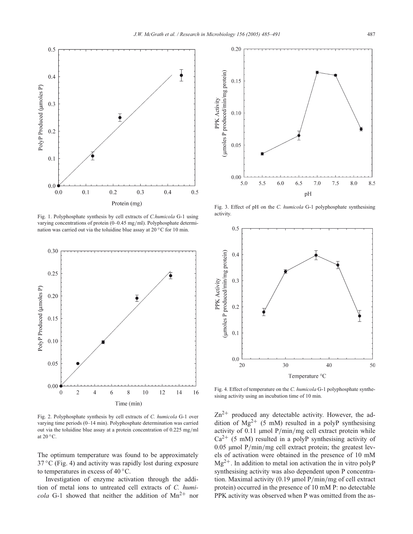

Fig. 1. Polyphosphate synthesis by cell extracts of *C.humicola* G-1 using varying concentrations of protein (0–0.45 mg/ml). Polyphosphate determination was carried out via the toluidine blue assay at 20 ℃ for 10 min.



Fig. 2. Polyphosphate synthesis by cell extracts of *C. humicola* G-1 over varying time periods (0–14 min). Polyphosphate determination was carried out via the toluidine blue assay at a protein concentration of 0.225 mg/ml at 20 ◦C.

The optimum temperature was found to be approximately  $37^{\circ}$ C (Fig. 4) and activity was rapidly lost during exposure to temperatures in excess of 40 ◦C.

Investigation of enzyme activation through the addition of metal ions to untreated cell extracts of *C. humicola* G-1 showed that neither the addition of  $Mn^{2+}$  nor



Fig. 3. Effect of pH on the *C. humicola* G-1 polyphosphate synthesising activity.



Fig. 4. Effect of temperature on the *C. humicola* G-1 polyphosphate synthesising activity using an incubation time of 10 min.

 $Zn^{2+}$  produced any detectable activity. However, the addition of  $Mg^{2+}$  (5 mM) resulted in a polyP synthesising activity of 0.11 µmol P/min/mg cell extract protein while  $Ca^{2+}$  (5 mM) resulted in a polyP synthesising activity of 0.05 µmol P/min/mg cell extract protein; the greatest levels of activation were obtained in the presence of 10 mM  $Mg^{2+}$ . In addition to metal ion activation the in vitro polyP synthesising activity was also dependent upon P concentration. Maximal activity (0.19 µmol P/min/mg of cell extract protein) occurred in the presence of 10 mM P: no detectable PPK activity was observed when P was omitted from the as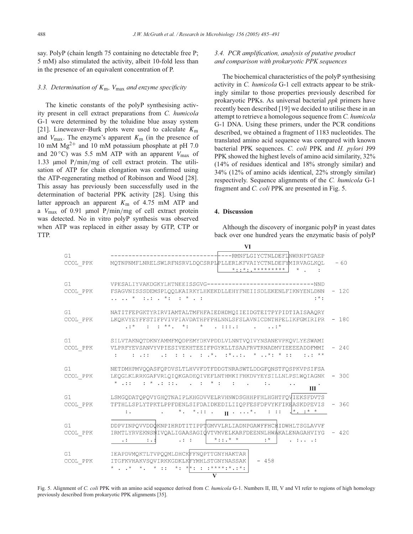say. PolyP (chain length 75 containing no detectable free P; 5 mM) also stimulated the activity, albeit 10-fold less than in the presence of an equivalent concentration of P.

## *3.3. Determination of* <sup>K</sup>m*,* <sup>V</sup>max *and enzyme specificity*

The kinetic constants of the polyP synthesising activity present in cell extract preparations from *C. humicola* G-1 were determined by the toluidine blue assay system [21]. Lineweaver–Burk plots were used to calculate  $K<sub>m</sub>$ and  $V_{\text{max}}$ . The enzyme's apparent  $K_{\text{m}}$  (in the presence of 10 mM  $Mg^{2+}$  and 10 mM potassium phosphate at pH 7.0 and 20 $\degree$ C) was 5.5 mM ATP with an apparent  $V_{\text{max}}$  of 1.33 µmol P/min/mg of cell extract protein. The utilisation of ATP for chain elongation was confirmed using the ATP-regenerating method of Robinson and Wood [28]. This assay has previously been successfully used in the determination of bacterial PPK activity [28]. Using this latter approach an apparent  $K<sub>m</sub>$  of 4.75 mM ATP and a  $V_{\text{max}}$  of 0.91 µmol P/min/mg of cell extract protein was detected. No in vitro polyP synthesis was observed when ATP was replaced in either assay by GTP, CTP or TTP.

# *3.4. PCR amplification, analysis of putative product and comparison with prokaryotic PPK sequences*

The biochemical characteristics of the polyP synthesising activity in *C. humicola* G-1 cell extracts appear to be strikingly similar to those properties previously described for prokaryotic PPKs. As universal bacterial *ppk* primers have recently been described [19] we decided to utilise these in an attempt to retrieve a homologous sequence from *C. humicola* G-1 DNA. Using these primers, under the PCR conditions described, we obtained a fragment of 1183 nucleotides. The translated amino acid sequence was compared with known bacterial PPK sequences. *C. coli* PPK and *H. pylori* J99 PPK showed the highest levels of amino acid similarity, 32% (14% of residues identical and 18% strongly similar) and 34% (12% of amino acids identical, 22% strongly similar) respectively. Sequence alignments of the *C. humicola* G-1 fragment and *C. coli* PPK are presented in Fig. 5.

### **4. Discussion**

 $\overline{M}$ 

Although the discovery of inorganic polyP in yeast dates back over one hundred years the enzymatic basis of polyP

| G1<br>$\ensuremath{\text{CCOL}}$ PPK | ---RMNFLGIYCTNLDEFLWWRNPTGAEP<br>MQTNPNMFLNRELSWLRFNSRVLDQCSRPLPLLERLKFVAIYCTNLDEFYMIRVAGLKQL<br>* * * * * * * * * * *                                                                                                                                                                                                                                                                                              | $-60$  |
|--------------------------------------|---------------------------------------------------------------------------------------------------------------------------------------------------------------------------------------------------------------------------------------------------------------------------------------------------------------------------------------------------------------------------------------------------------------------|--------|
| G1<br>CCOL PPK                       | VPESALIYVAKDGKYLHTNEEISSGVG--------------------------------NND<br>FSAGVNISSSDEMSPLOOLKAIRKYLHKEKDLLEHYFNEIISDLEKENLFIKNYENLDNN<br>$\ldots$ , $\star$ $\ldots$ , $\star$ $\ldots$ , $\star$<br>$: * :$                                                                                                                                                                                                               | 120    |
| G1<br>CCOL PPK                       | NATITFEPGKTYRIRVIAMTALTMFHFAIEDHDMQIIEIDGTEITPYPIDTIAISAAQRY<br>LKQKVYEYFFSTIFPVIVPIAVDATHPFPHLNNLSFSLAVNICDNTHPELIKFGMIRIPR<br>$\cdot :$ $*$ $:$ $:$ $*$ $*$ $:$ $*$ $:$ $:$ $:$ $:$ $:$ $:$ $:$ $:$ $:$ $*$                                                                                                                                                                                                       | $-180$ |
| G1<br>CCOL PPK                       | SILVTAKNOTDKNYAMMFMODPEMYDKVPDDLVLNNTVOIVYNSANEVPKOVLYESWAMI<br>VLPRFYEVSANVYVPIESIVEKHTEEIFPGYKLLTSAAFRVTRNADMVIEEEEADDFMMI<br>$\frac{1}{2}$ . $\frac{1}{2}$ . $\frac{1}{2}$ . $\frac{1}{2}$ . $\frac{1}{2}$ . $\frac{1}{2}$ . $\frac{1}{2}$ . $\frac{1}{2}$ . $\frac{1}{2}$ . $\frac{1}{2}$ . $\frac{1}{2}$ . $\frac{1}{2}$ . $\frac{1}{2}$ . $\frac{1}{2}$<br>$\cdot$ : $\cdot$ $\cdot$ $\star$ $\star$<br>1.111 | $-240$ |
| G1<br>$CCOL$ PPK                     | NETDMHPMVQQASFQPDVSLTLHVVFDTFDDGTNRASWTLDDGFQNSTFQSPKVPSIFSA<br>LEQGLKLRRKGAFVRLQIQKGADEQIVEFLNTHMKIFHKDVYEYSILLNLPSLWQIAGNK<br>* .:: $\cdots$ * .: .:. * :<br>Ш                                                                                                                                                                                                                                                    | $-300$ |
| G1<br>CCOL PPK                       | LSMGQDATQPQVYGHQTNAIPLKHGDVVELRVHNWDSGHHPFHLHGHTFQVIEKSFDVTS<br>TFTHLLSPLYTPKTLPPFDENLSIFDAIDKEDILIIQPFESFDPVYKFIKEASKDPEVIS<br>$\cdot$ * * .:: $\cdot$ $\cdot$ $\cdot$ * . ::: $\frac{x}{1} \cdot \frac{x}{1}$<br>$\mathbb{Z}$                                                                                                                                                                                     | $-360$ |
| G1<br>CCOL PPK                       | DDPVINPQVVDDQKNPIHRDTITIPPTGMVVLRLIADNPGAWFFHCHIDWHLTSGLAVVF<br>IRMTLYRVEKNSNIVQALIGAASAGIQVTVMVELKARFDEENNLHWAKALENAGAHVIYG<br>$*$ ::. $*$ *<br>$:$ *<br>.<br>$\cdots$<br>:                                                                                                                                                                                                                                        | $-420$ |
| G1<br>CCOL PPK                       | IEAPDVMOKTLTVPOOMLDHCKFFNOPTTGNYHAKTAR<br>ITGFKVHAKVSOVIRKKGDKLKFYMHLSTGNYNASSAK<br>$-458$<br>* , , * *, * ; ; *, * *; ; ; ****;*,;*;<br>V                                                                                                                                                                                                                                                                          |        |

Fig. 5. Alignment of *C. coli* PPK with an amino acid sequence derived from *C. humicola* G-1. Numbers II, III, V and VI refer to regions of high homology previously described from prokaryotic PPK alignments [35].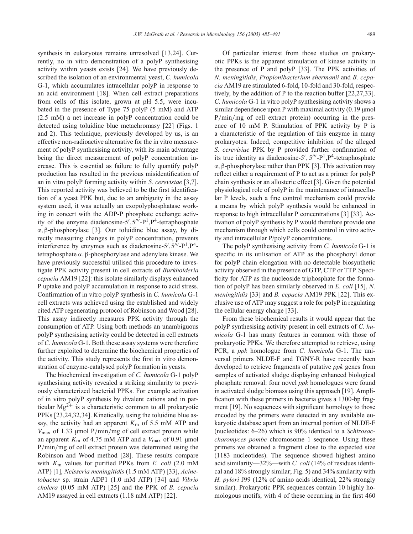synthesis in eukaryotes remains unresolved [13,24]. Currently, no in vitro demonstration of a polyP synthesising activity within yeasts exists [24]. We have previously described the isolation of an environmental yeast, *C. humicola* G-1, which accumulates intracellular polyP in response to an acid environment [18]. When cell extract preparations from cells of this isolate, grown at pH 5.5, were incubated in the presence of Type 75 polyP (5 mM) and ATP (2.5 mM) a net increase in polyP concentration could be detected using toluidine blue metachromasy [22] (Figs. 1 and 2). This technique, previously developed by us, is an effective non-radioactive alternative for the in vitro measurement of polyP synthesising activity, with its main advantage being the direct measurement of polyP concentration increase. This is essential as failure to fully quantify polyP production has resulted in the previous misidentification of an in vitro polyP forming activity within *S. cerevisiae* [3,7]. This reported activity was believed to be the first identification of a yeast PPK but, due to an ambiguity in the assay system used, it was actually an exopolyphosphatase working in concert with the ADP-P phosphate exchange activity of the enzyme diadenosine- $5'$ ,  $5'''$ - $P<sup>1</sup>$ ,  $P<sup>4</sup>$ -tetraphosphate<br> $\alpha$ ,  $B$ -phosphorylase [31]. Our toluiding blue assay by di<sup>α</sup>, <sup>β</sup>-phosphorylase [3]. Our toluidine blue assay, by directly measuring changes in polyP concentration, prevents interference by enzymes such as diadenosine-5',  $5''-P^1$ ,  $P^4$ -<br>tetraphosphate  $\alpha$ , B-phosphorylase and adenylate kinase. We tetraphosphate <sup>α</sup>, <sup>β</sup>-phosphorylase and adenylate kinase. We have previously successful utilised this procedure to investigate PPK activity present in cell extracts of *Burkholderia cepacia* AM19 [22]: this isolate similarly displays enhanced P uptake and polyP accumulation in response to acid stress. Confirmation of in vitro polyP synthesis in *C. humicola* G-1 cell extracts was achieved using the established and widely cited ATP regenerating protocol of Robinson and Wood [28]. This assay indirectly measures PPK activity through the consumption of ATP. Using both methods an unambiguous polyP synthesising activity could be detected in cell extracts of *C. humicola* G-1. Both these assay systems were therefore further exploited to determine the biochemical properties of the activity. This study represents the first in vitro demonstration of enzyme-catalysed polyP formation in yeasts.

The biochemical investigation of *C. humicola* G-1 polyP synthesising activity revealed a striking similarity to previously characterized bacterial PPKs. For example activation of in vitro polyP synthesis by divalent cations and in particular  $Mg^{2+}$  is a characteristic common to all prokaryotic PPKs [23,24,32,34]. Kinetically, using the toluidine blue assay, the activity had an apparent  $K<sub>m</sub>$  of 5.5 mM ATP and  $V_{\text{max}}$  of 1.33 µmol P/min/mg of cell extract protein while an apparent  $K_{\rm m}$  of 4.75 mM ATP and a  $V_{\rm max}$  of 0.91 µmol <sup>P</sup>/min/mg of cell extract protein was determined using the Robinson and Wood method [28]. These results compare with <sup>K</sup><sup>m</sup> values for purified PPKs from *E. coli* (2.0 mM ATP) [1], *Neisseria meningitidis* (1.5 mM ATP) [33], *Acinetobacter* sp. strain ADP1 (1.0 mM ATP) [34] and *Vibrio cholera* (0.05 mM ATP) [25] and the PPK of *B. cepacia* AM19 assayed in cell extracts (1.18 mM ATP) [22].

Of particular interest from those studies on prokaryotic PPKs is the apparent stimulation of kinase activity in the presence of P and polyP [33]. The PPK activities of *N. meningitidis*, *Propionibacterium shermanii* and *B. cepacia* AM19 are stimulated 6-fold, 10-fold and 30-fold, respectively, by the addition of P to the reaction buffer [22,27,33]. *C. humicola* G-1 in vitro polyP synthesising activity shows a similar dependence upon P with maximal activity  $(0.19 \mu m)$ <sup>P</sup>/min/mg of cell extract protein) occurring in the presence of 10 mM P. Stimulation of PPK activity by P is a characteristic of the regulation of this enzyme in many prokaryotes. Indeed, competitive inhibition of the alleged *S. cerevisiae* PPK by P provided further confirmation of its true identity as diadenosine-5',  $5'''-P^1$ ,  $P^4$ -tetraphosphate<br> $\alpha$ , B-phosphorylase rather than PPK [3]. This activation may <sup>α</sup>, <sup>β</sup>-phosphorylase rather than PPK [3]. This activation may reflect either a requirement of P to act as a primer for polyP chain synthesis or an allosteric effect [3]. Given the potential physiological role of polyP in the maintenance of intracellular P levels, such a fine control mechanism could provide a means by which polyP synthesis would be enhanced in response to high intracellular P concentrations [3] [33]. Activation of polyP synthesis by P would therefore provide one mechanism through which cells could control in vitro activity and intracellular P/polyP concentrations.

The polyP synthesising activity from *C. humicola* G-1 is specific in its utilisation of ATP as the phosphoryl donor for polyP chain elongation with no detectable biosynthetic activity observed in the presence of GTP, CTP or TTP. Specificity for ATP as the nucleoside triphosphate for the formation of polyP has been similarly observed in *E. coli* [15], *N. meningitidis* [33] and *B. cepacia* AM19 PPK [22]. This exclusive use of ATP may suggest a role for polyP in regulating the cellular energy charge [33].

From these biochemical results it would appear that the polyP synthesising activity present in cell extracts of *C. humicola* G-1 has many features in common with those of prokaryotic PPKs. We therefore attempted to retrieve, using PCR, a *ppk* homologue from *C. humicola* G-1. The universal primers NLDE-F and TGNY-R have recently been developed to retrieve fragments of putative *ppk* genes from samples of activated sludge displaying enhanced biological phosphate removal: four novel *ppk* homologues were found in activated sludge biomass using this approach [19]. Amplification with these primers in bacteria gives a 1300-bp fragment [19]. No sequences with significant homology to those encoded by the primers were detected in any available eukaryotic database apart from an internal portion of NLDE-F (nucleotides: 6–26) which is 90% identical to a *Schizosaccharomyces pombe* chromosome 1 sequence. Using these primers we obtained a fragment close to the expected size (1183 nucleotides). The sequence showed highest amino acid similarity—32%—with *C. coli* (14% of residues identical and 18% strongly similar; Fig. 5) and 34% similarity with *H. pylori* J99 (12% of amino acids identical, 22% strongly similar). Prokaryotic PPK sequences contain 10 highly homologous motifs, with 4 of these occurring in the first 460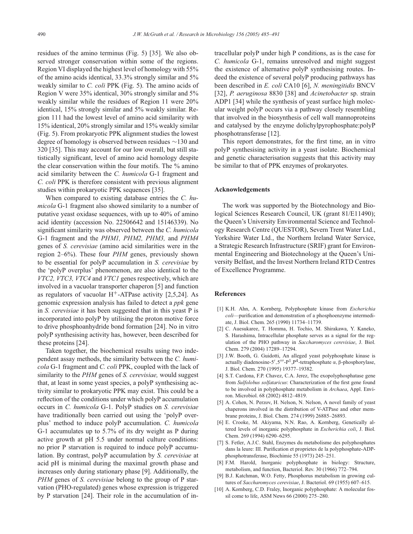residues of the amino terminus (Fig. 5) [35]. We also observed stronger conservation within some of the regions. Region VI displayed the highest level of homology with 55% of the amino acids identical, 33.3% strongly similar and 5% weakly similar to *C. coli* PPK (Fig. 5). The amino acids of Region V were 35% identical, 30% strongly similar and 5% weakly similar while the residues of Region 11 were 20% identical, 15% strongly similar and 5% weakly similar. Region 111 had the lowest level of amino acid similarity with 15% identical, 20% strongly similar and 15% weakly similar (Fig. 5). From prokaryotic PPK alignment studies the lowest degree of homology is observed between residues ∼130 and 320 [35]. This may account for our low overall, but still statistically significant, level of amino acid homology despite the clear conservation within the four motifs. The % amino acid similarity between the *C. humicola* G-1 fragment and *C. coli* PPK is therefore consistent with previous alignment studies within prokaryotic PPK sequences [35].

When compared to existing database entries the *C. humicola* G-1 fragment also showed similarity to a number of putative yeast oxidase sequences, with up to 40% of amino acid identity (accession No. 22506642 and 15146339). No significant similarity was observed between the *C. humicola* G-1 fragment and the *PHM1, PHM2, PHM3,* and *PHM4* genes of *S. cerevisiae* (amino acid similarities were in the region 2–6%). These four *PHM* genes, previously shown to be essential for polyP accumulation in *S. cerevisiae* by the 'polyP overplus' phenomenon, are also identical to the *VTC2, VTC3, VTC4* and *VTC1* genes respectively, which are involved in a vacuolar transporter chaperon [5] and function as regulators of vacuolar  $H^+$ -ATPase activity [2,5,24]. As genomic expression analysis has failed to detect a *ppk* gene in *S. cerevisiae* it has been suggested that in this yeast P is incorporated into polyP by utilising the proton motive force to drive phosphoanhydride bond formation [24]. No in vitro polyP synthesising activity has, however, been described for these proteins [24].

Taken together, the biochemical results using two independent assay methods, the similarity between the *C. humicola* G-1 fragment and *C. coli* PPK, coupled with the lack of similarity to the *PHM* genes of *S. cerevisiae,* would suggest that, at least in some yeast species, a polyP synthesising activity similar to prokaryotic PPK may exist. This could be a reflection of the conditions under which polyP accumulation occurs in *C. humicola* G-1. PolyP studies on *S. cerevisiae* have traditionally been carried out using the 'polyP overplus' method to induce polyP accumulation. *C. humicola* G-1 accumulates up to 5.7% of its dry weight as P during active growth at pH 5.5 under normal culture conditions: no prior P starvation is required to induce polyP accumulation. By contrast, polyP accumulation by *S. cerevisiae* at acid pH is minimal during the maximal growth phase and increases only during stationary phase [9]. Additionally, the *PHM* genes of *S. cerevisiae* belong to the group of P starvation (PHO-regulated) genes whose expression is triggered by P starvation [24]. Their role in the accumulation of intracellular polyP under high P conditions, as is the case for *C. humicola* G-1, remains unresolved and might suggest the existence of alternative polyP synthesising routes. Indeed the existence of several polyP producing pathways has been described in *E. coli* CA10 [6], *N. meningitidis* BNCV [32], *P. aeruginosa* 8830 [38] and *Acinetobacter* sp. strain ADP1 [34] while the synthesis of yeast surface high molecular weight polyP occurs via a pathway closely resembling that involved in the biosynthesis of cell wall mannoproteins and catalysed by the enzyme dolichylpyrophosphate:polyP phosphotransferase [12].

This report demonstrates, for the first time, an in vitro polyP synthesising activity in a yeast isolate. Biochemical and genetic characterisation suggests that this activity may be similar to that of PPK enzymes of prokaryotes.

#### **Acknowledgements**

The work was supported by the Biotechnology and Biological Sciences Research Council, UK (grant 81/E11490); the Queen's University Environmental Science and Technology Research Centre (QUESTOR), Severn Trent Water Ltd., Yorkshire Water Ltd., the Northern Ireland Water Service, a Strategic Research Infrastructure (SRIF) grant for Environmental Engineering and Biotechnology at the Queen's University Belfast, and the Invest Northern Ireland RTD Centres of Excellence Programme.

## **References**

- [1] K.H. Ahn, A. Kornberg, Polyphosphate kinase from *Escherichia coli*—purification and demonstration of a phosphoenzyme intermediate, J. Biol. Chem. 265 (1990) 11734–11739.
- [2] C. Auesukaree, T. Homma, H. Tochio, M. Shirakawa, Y. Kaneko, S. Harashima, Intracellular phosphate serves as a signal for the regulation of the PHO pathway in *Saccharomyces cerevisiae*, J. Biol. Chem. 279 (2004) 17289–17294.
- [3] J.W. Booth, G. Guidotti, An alleged yeast polyphosphate kinase is actually diadenosine-5',  $5'''$ - $P^1$ ,  $P^4$ -tetraphosphate α, β-phosphorylase,<br>L Biol. Cham. 270 (1995) 19377-19382 J. Biol. Chem. 270 (1995) 19377–19382.
- [4] S.T. Cardona, F.P. Chavez, C.A. Jerez, The exopolyphosphatase gene from *Sulfolobus solfataricus*: Characterization of the first gene found to be involved in polyphosphate metabolism in *Archaea*, Appl. Environ. Microbiol. 68 (2002) 4812–4819.
- [5] A. Cohen, N. Perzov, H. Nelson, N. Nelson, A novel family of yeast chaperons involved in the distribution of V-ATPase and other membrane proteins, J. Biol. Chem. 274 (1999) 26885–26893.
- [6] E. Crooke, M. Akiyama, N.N. Rao, A. Kornberg, Genetically altered levels of inorganic polyphosphate in *Escherichia coli*, J. Biol. Chem. 269 (1994) 6290–6295.
- [7] S. Fetler, A.J.C. Stahl, Enzymes du metabolisme des polyphosphates dans la leure: III. Purification et proprietes de la polyphosphate-ADPphosphotransferase, Biochimie 55 (1973) 245–251.
- [8] F.M. Harold, Inorganic polyphosphate in biology: Structure, metabolism, and function, Bacteriol. Rev. 30 (1966) 772–794.
- [9] B.J. Katchman, W.O. Fetty, Phosphorus metabolism in growing cultures of *Saccharomyces cerevisiae*, J. Bacteriol. 69 (1955) 607–615.
- [10] A. Kornberg, C.D. Fraley, Inorganic polyphosphate: A molecular fossil come to life, ASM News 66 (2000) 275–280.